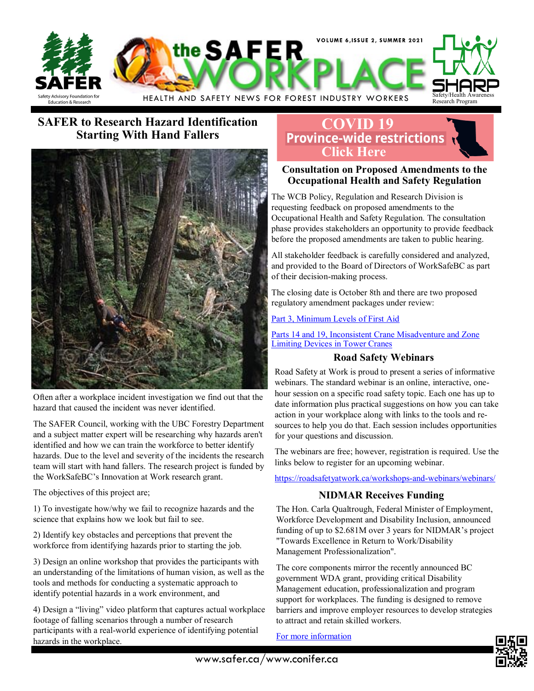

## **SAFER to Research Hazard Identification Starting With Hand Fallers**



Often after a workplace incident investigation we find out that the hazard that caused the incident was never identified.

The SAFER Council, working with the UBC Forestry Department and a subject matter expert will be researching why hazards aren't identified and how we can train the workforce to better identify hazards. Due to the level and severity of the incidents the research team will start with hand fallers. The research project is funded by the WorkSafeBC's Innovation at Work research grant.

The objectives of this project are;

1) To investigate how/why we fail to recognize hazards and the science that explains how we look but fail to see.

2) Identify key obstacles and perceptions that prevent the workforce from identifying hazards prior to starting the job.

3) Design an online workshop that provides the participants with an understanding of the limitations of human vision, as well as the tools and methods for conducting a systematic approach to identify potential hazards in a work environment, and

4) Design a "living" video platform that captures actual workplace footage of falling scenarios through a number of research participants with a real-world experience of identifying potential hazards in the workplace.

## **[COVID 19](https://www2.gov.bc.ca/gov/content/safety/emergency-preparedness-response-recovery/covid-19-provincial-support/restrictions)**<br>**Province-wide restrictions Click Here**

### **Consultation on Proposed Amendments to the Occupational Health and Safety Regulation**

The WCB Policy, Regulation and Research Division is requesting feedback on proposed amendments to the Occupational Health and Safety Regulation. The consultation phase provides stakeholders an opportunity to provide feedback before the proposed amendments are taken to public hearing.

All stakeholder feedback is carefully considered and analyzed, and provided to the Board of Directors of WorkSafeBC as part of their decision-making process.

The closing date is October 8th and there are two proposed regulatory amendment packages under review:

#### [Part 3, Minimum Levels of First Aid](https://www.worksafebc.com/resources/law-policy/discussion-papers/consultation-on-proposed-amendments-to-the-occupational-health-and-safety-regulation-oct-8-21/part-3?lang=en)

[Parts 14 and 19, Inconsistent Crane Misadventure and Zone](https://www.worksafebc.com/resources/law-policy/discussion-papers/consultation-on-proposed-amendments-to-the-occupational-health-and-safety-regulation-oct-8-21/part-14-19?lang=en)  [Limiting Devices in Tower Cranes](https://www.worksafebc.com/resources/law-policy/discussion-papers/consultation-on-proposed-amendments-to-the-occupational-health-and-safety-regulation-oct-8-21/part-14-19?lang=en)

#### **Road Safety Webinars**

Road Safety at Work is proud to present a series of informative webinars. The standard webinar is an online, interactive, onehour session on a specific road safety topic. Each one has up to date information plus practical suggestions on how you can take action in your workplace along with links to the tools and resources to help you do that. Each session includes opportunities for your questions and discussion.

The webinars are free; however, registration is required. Use the links below to register for an upcoming webinar.

[https://roadsafetyatwork.ca/workshops](https://roadsafetyatwork.ca/workshops-and-webinars/webinars/)-and-webinars/webinars/

## **NIDMAR Receives Funding**

The Hon. Carla Qualtrough, Federal Minister of Employment, Workforce Development and Disability Inclusion, announced funding of up to \$2.681M over 3 years for NIDMAR's project "Towards Excellence in Return to Work/Disability Management Professionalization".

The core components mirror the recently announced BC government WDA grant, providing critical Disability Management education, professionalization and program support for workplaces. The funding is designed to remove barriers and improve employer resources to develop strategies to attract and retain skilled workers.

[For more information](https://www.nidmar.ca/news/full_story.asp?fid=284)